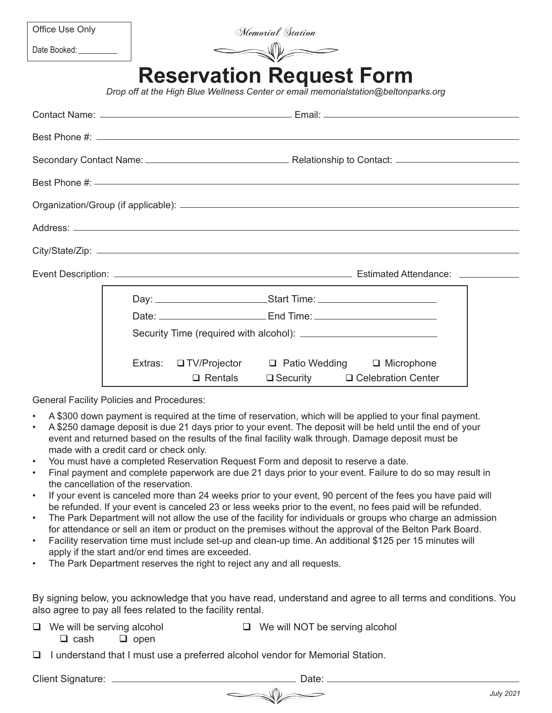| Office Use Only |  |  |
|-----------------|--|--|
|-----------------|--|--|

Memorial Station

Date Booked:

## **Reservation Request Form**

*Drop off at the High Blue Wellness Center or email memorialstation@beltonparks.org*

|  |  | $\Box$ Rentals |  | □ Security □ Celebration Center |
|--|--|----------------|--|---------------------------------|

General Facility Policies and Procedures:

- A \$300 down payment is required at the time of reservation, which will be applied to your final payment.
- A \$250 damage deposit is due 21 days prior to your event. The deposit will be held until the end of your event and returned based on the results of the final facility walk through. Damage deposit must be made with a credit card or check only.
- You must have a completed Reservation Request Form and deposit to reserve a date.
- Final payment and complete paperwork are due 21 days prior to your event. Failure to do so may result in the cancellation of the reservation.
- • If your event is canceled more than 24 weeks prior to your event, 90 percent of the fees you have paid will be refunded. If your event is canceled 23 or less weeks prior to the event, no fees paid will be refunded.
- The Park Department will not allow the use of the facility for individuals or groups who charge an admission for attendance or sell an item or product on the premises without the approval of the Belton Park Board.
- Facility reservation time must include set-up and clean-up time. An additional \$125 per 15 minutes will apply if the start and/or end times are exceeded.
- The Park Department reserves the right to reject any and all requests.

By signing below, you acknowledge that you have read, understand and agree to all terms and conditions. You also agree to pay all fees related to the facility rental.

 $\Box$  We will be serving alcohol  $\Box$  We will NOT be serving alcohol

 $\Box$  cash  $\Box$  open

 $\Box$  I understand that I must use a preferred alcohol vendor for Memorial Station.

Client Signature: Date: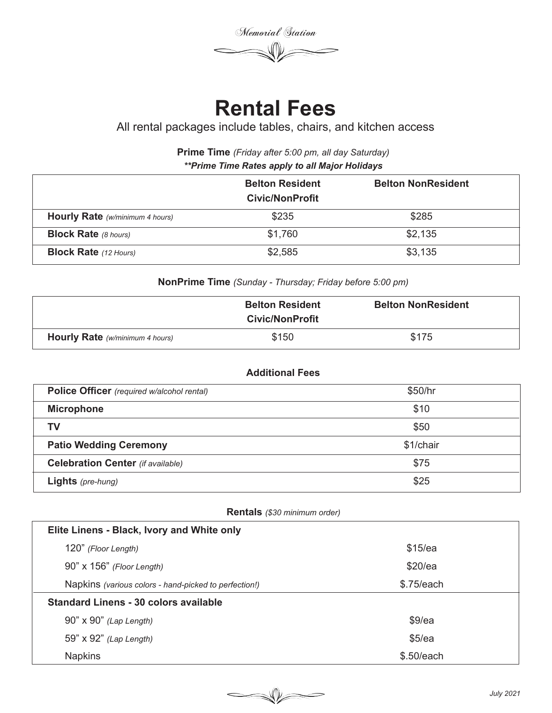Memorial Station

## **Rental Fees**

All rental packages include tables, chairs, and kitchen access

**Prime Time** *(Friday after 5:00 pm, all day Saturday) \*\*Prime Time Rates apply to all Major Holidays*

|                                 | <b>Belton Resident</b><br>Civic/NonProfit | <b>Belton NonResident</b> |  |
|---------------------------------|-------------------------------------------|---------------------------|--|
| Hourly Rate (w/minimum 4 hours) | \$235                                     | \$285                     |  |
| <b>Block Rate</b> (8 hours)     | \$1,760                                   | \$2,135                   |  |
| <b>Block Rate</b> (12 Hours)    | \$2,585                                   | \$3,135                   |  |

**NonPrime Time** *(Sunday - Thursday; Friday before 5:00 pm)* 

|                                        | <b>Belton Resident</b><br><b>Civic/NonProfit</b> | <b>Belton NonResident</b> |
|----------------------------------------|--------------------------------------------------|---------------------------|
| <b>Hourly Rate</b> (w/minimum 4 hours) | \$150                                            | \$175                     |

### **Additional Fees**

| Police Officer (required w/alcohol rental) | \$50/hr   |
|--------------------------------------------|-----------|
| <b>Microphone</b>                          | \$10      |
| ΤV                                         | \$50      |
| <b>Patio Wedding Ceremony</b>              | \$1/chair |
| <b>Celebration Center</b> (if available)   | \$75      |
| <b>Lights</b> (pre-hung)                   | \$25      |

### **Rentals** *(\$30 minimum order)*

| Elite Linens - Black, Ivory and White only            |            |  |  |  |
|-------------------------------------------------------|------------|--|--|--|
| 120" (Floor Length)                                   | \$15/ea    |  |  |  |
| 90" x 156" (Floor Length)                             | \$20/ea    |  |  |  |
| Napkins (various colors - hand-picked to perfection!) | \$.75/each |  |  |  |
| Standard Linens - 30 colors available                 |            |  |  |  |
| 90" x 90" (Lap Length)                                | \$9/ea     |  |  |  |
| 59" x 92" (Lap Length)                                | \$5/ea     |  |  |  |
| <b>Napkins</b>                                        | \$.50/each |  |  |  |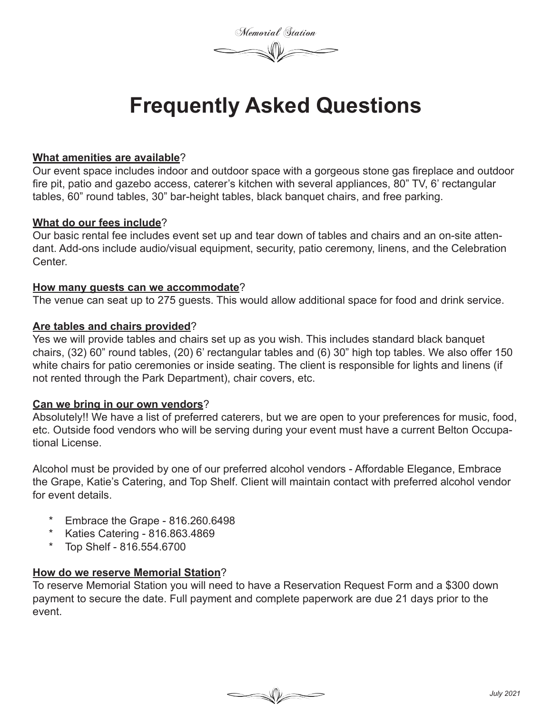Memorial Station

## **Frequently Asked Questions**

### **What amenities are available**?

Our event space includes indoor and outdoor space with a gorgeous stone gas fireplace and outdoor fire pit, patio and gazebo access, caterer's kitchen with several appliances, 80" TV, 6' rectangular tables, 60" round tables, 30" bar-height tables, black banquet chairs, and free parking.

### **What do our fees include**?

Our basic rental fee includes event set up and tear down of tables and chairs and an on-site attendant. Add-ons include audio/visual equipment, security, patio ceremony, linens, and the Celebration Center.

### **How many guests can we accommodate**?

The venue can seat up to 275 guests. This would allow additional space for food and drink service.

### **Are tables and chairs provided**?

Yes we will provide tables and chairs set up as you wish. This includes standard black banquet chairs, (32) 60" round tables, (20) 6' rectangular tables and (6) 30" high top tables. We also offer 150 white chairs for patio ceremonies or inside seating. The client is responsible for lights and linens (if not rented through the Park Department), chair covers, etc.

### **Can we bring in our own vendors**?

Absolutely!! We have a list of preferred caterers, but we are open to your preferences for music, food, etc. Outside food vendors who will be serving during your event must have a current Belton Occupational License.

Alcohol must be provided by one of our preferred alcohol vendors - Affordable Elegance, Embrace the Grape, Katie's Catering, and Top Shelf. Client will maintain contact with preferred alcohol vendor for event details.

- Embrace the Grape 816.260.6498
- \* Katies Catering 816.863.4869
- Top Shelf 816.554.6700

### **How do we reserve Memorial Station**?

To reserve Memorial Station you will need to have a Reservation Request Form and a \$300 down payment to secure the date. Full payment and complete paperwork are due 21 days prior to the event.

 $\begin{picture}(120,10) \put(0,0){\dashbox{0.5}(120,0){ }} \put(15,0){\dashbox{0.5}(120,0){ }} \put(15,0){\dashbox{0.5}(120,0){ }} \put(15,0){\dashbox{0.5}(120,0){ }} \put(15,0){\dashbox{0.5}(120,0){ }} \put(15,0){\dashbox{0.5}(120,0){ }} \put(15,0){\dashbox{0.5}(120,0){ }} \put(15,0){\dashbox{0.5}(120,0){ }} \put(15,0){\dashbox{0.5}(120,0){ }} \put$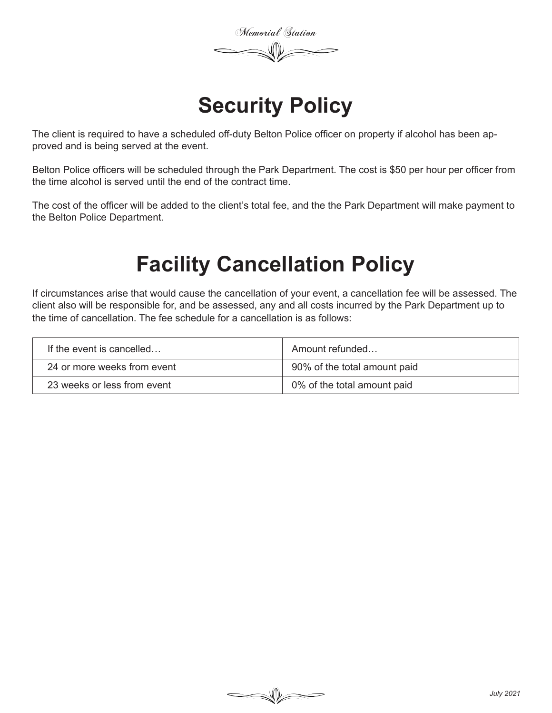Memorial Station

## **Security Policy**

The client is required to have a scheduled off-duty Belton Police officer on property if alcohol has been approved and is being served at the event.

Belton Police officers will be scheduled through the Park Department. The cost is \$50 per hour per officer from the time alcohol is served until the end of the contract time.

The cost of the officer will be added to the client's total fee, and the the Park Department will make payment to the Belton Police Department.

# **Facility Cancellation Policy**

If circumstances arise that would cause the cancellation of your event, a cancellation fee will be assessed. The client also will be responsible for, and be assessed, any and all costs incurred by the Park Department up to the time of cancellation. The fee schedule for a cancellation is as follows:

| If the event is cancelled   | Amount refunded              |
|-----------------------------|------------------------------|
| 24 or more weeks from event | 90% of the total amount paid |
| 23 weeks or less from event | 0% of the total amount paid  |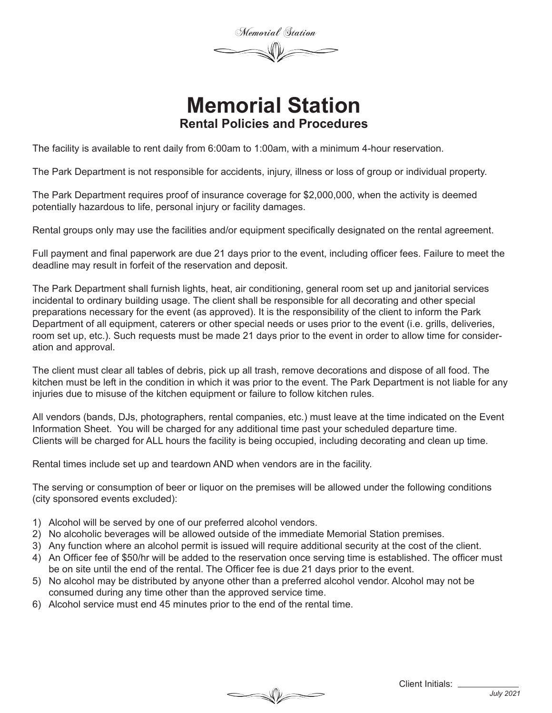Memorial Station

### **Memorial Station Rental Policies and Procedures**

The facility is available to rent daily from 6:00am to 1:00am, with a minimum 4-hour reservation.

The Park Department is not responsible for accidents, injury, illness or loss of group or individual property.

The Park Department requires proof of insurance coverage for \$2,000,000, when the activity is deemed potentially hazardous to life, personal injury or facility damages.

Rental groups only may use the facilities and/or equipment specifically designated on the rental agreement.

Full payment and final paperwork are due 21 days prior to the event, including officer fees. Failure to meet the deadline may result in forfeit of the reservation and deposit.

The Park Department shall furnish lights, heat, air conditioning, general room set up and janitorial services incidental to ordinary building usage. The client shall be responsible for all decorating and other special preparations necessary for the event (as approved). It is the responsibility of the client to inform the Park Department of all equipment, caterers or other special needs or uses prior to the event (i.e. grills, deliveries, room set up, etc.). Such requests must be made 21 days prior to the event in order to allow time for consideration and approval.

The client must clear all tables of debris, pick up all trash, remove decorations and dispose of all food. The kitchen must be left in the condition in which it was prior to the event. The Park Department is not liable for any injuries due to misuse of the kitchen equipment or failure to follow kitchen rules.

All vendors (bands, DJs, photographers, rental companies, etc.) must leave at the time indicated on the Event Information Sheet. You will be charged for any additional time past your scheduled departure time. Clients will be charged for ALL hours the facility is being occupied, including decorating and clean up time.

Rental times include set up and teardown AND when vendors are in the facility.

The serving or consumption of beer or liquor on the premises will be allowed under the following conditions (city sponsored events excluded):

- 1) Alcohol will be served by one of our preferred alcohol vendors.
- 2) No alcoholic beverages will be allowed outside of the immediate Memorial Station premises.
- 3) Any function where an alcohol permit is issued will require additional security at the cost of the client.
- 4) An Officer fee of \$50/hr will be added to the reservation once serving time is established. The officer must be on site until the end of the rental. The Officer fee is due 21 days prior to the event.

- 5) No alcohol may be distributed by anyone other than a preferred alcohol vendor. Alcohol may not be consumed during any time other than the approved service time.
- 6) Alcohol service must end 45 minutes prior to the end of the rental time.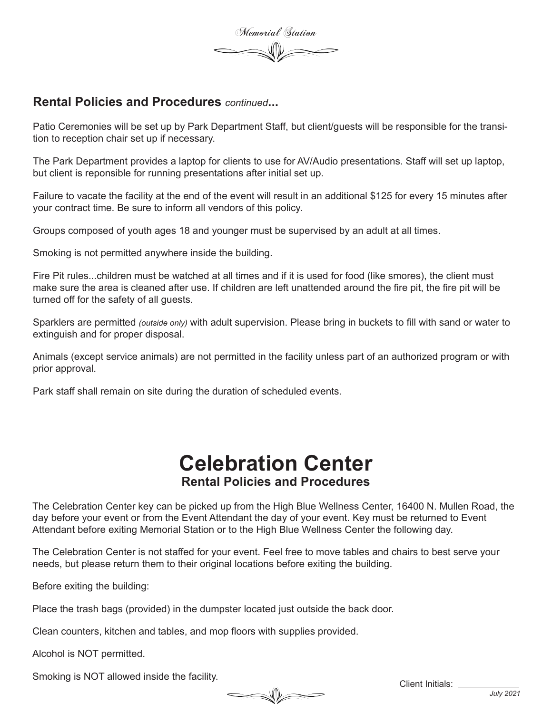Memorial Station

### **Rental Policies and Procedures** *continued***...**

Patio Ceremonies will be set up by Park Department Staff, but client/guests will be responsible for the transition to reception chair set up if necessary.

The Park Department provides a laptop for clients to use for AV/Audio presentations. Staff will set up laptop, but client is reponsible for running presentations after initial set up.

Failure to vacate the facility at the end of the event will result in an additional \$125 for every 15 minutes after your contract time. Be sure to inform all vendors of this policy.

Groups composed of youth ages 18 and younger must be supervised by an adult at all times.

Smoking is not permitted anywhere inside the building.

Fire Pit rules...children must be watched at all times and if it is used for food (like smores), the client must make sure the area is cleaned after use. If children are left unattended around the fire pit, the fire pit will be turned off for the safety of all guests.

Sparklers are permitted *(outside only)* with adult supervision. Please bring in buckets to fill with sand or water to extinguish and for proper disposal.

Animals (except service animals) are not permitted in the facility unless part of an authorized program or with prior approval.

Park staff shall remain on site during the duration of scheduled events.

### **Celebration Center Rental Policies and Procedures**

The Celebration Center key can be picked up from the High Blue Wellness Center, 16400 N. Mullen Road, the day before your event or from the Event Attendant the day of your event. Key must be returned to Event Attendant before exiting Memorial Station or to the High Blue Wellness Center the following day.

The Celebration Center is not staffed for your event. Feel free to move tables and chairs to best serve your needs, but please return them to their original locations before exiting the building.

 $\begin{picture}(120,10) \put(0,0){\dashbox{0.5}(120,0){ }} \put(15,0){\dashbox{0.5}(120,0){ }} \put(15,0){\dashbox{0.5}(120,0){ }} \put(15,0){\dashbox{0.5}(120,0){ }} \put(15,0){\dashbox{0.5}(120,0){ }} \put(15,0){\dashbox{0.5}(120,0){ }} \put(15,0){\dashbox{0.5}(120,0){ }} \put(15,0){\dashbox{0.5}(120,0){ }} \put(15,0){\dashbox{0.5}(120,0){ }} \put$ 

Before exiting the building:

Place the trash bags (provided) in the dumpster located just outside the back door.

Clean counters, kitchen and tables, and mop floors with supplies provided.

Alcohol is NOT permitted.

Smoking is NOT allowed inside the facility.

Client Initials: \_\_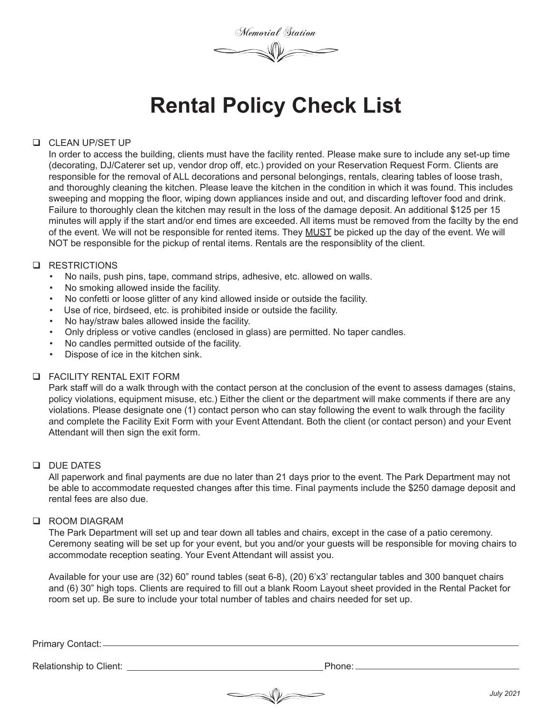Memorial Station

## **Rental Policy Check List**

### **Q** CLEAN UP/SET UP

In order to access the building, clients must have the facility rented. Please make sure to include any set-up time (decorating, DJ/Caterer set up, vendor drop off, etc.) provided on your Reservation Request Form. Clients are responsible for the removal of ALL decorations and personal belongings, rentals, clearing tables of loose trash, and thoroughly cleaning the kitchen. Please leave the kitchen in the condition in which it was found. This includes sweeping and mopping the floor, wiping down appliances inside and out, and discarding leftover food and drink. Failure to thoroughly clean the kitchen may result in the loss of the damage deposit. An additional \$125 per 15 minutes will apply if the start and/or end times are exceeded. All items must be removed from the facilty by the end of the event. We will not be responsible for rented items. They MUST be picked up the day of the event. We will NOT be responsible for the pickup of rental items. Rentals are the responsiblity of the client.

### **Q** RESTRICTIONS

- No nails, push pins, tape, command strips, adhesive, etc. allowed on walls.
- No smoking allowed inside the facility.
- No confetti or loose glitter of any kind allowed inside or outside the facility.
- Use of rice, birdseed, etc. is prohibited inside or outside the facility.
- No hay/straw bales allowed inside the facility.
- Only dripless or votive candles (enclosed in glass) are permitted. No taper candles.
- No candles permitted outside of the facility.
- Dispose of ice in the kitchen sink.

### **Q** FACILITY RENTAL EXIT FORM

Park staff will do a walk through with the contact person at the conclusion of the event to assess damages (stains, policy violations, equipment misuse, etc.) Either the client or the department will make comments if there are any violations. Please designate one (1) contact person who can stay following the event to walk through the facility and complete the Facility Exit Form with your Event Attendant. Both the client (or contact person) and your Event Attendant will then sign the exit form.

### **Q** DUE DATES

All paperwork and final payments are due no later than 21 days prior to the event. The Park Department may not be able to accommodate requested changes after this time. Final payments include the \$250 damage deposit and rental fees are also due.

### q ROOM DIAGRAM

The Park Department will set up and tear down all tables and chairs, except in the case of a patio ceremony. Ceremony seating will be set up for your event, but you and/or your guests will be responsible for moving chairs to accommodate reception seating. Your Event Attendant will assist you.

Available for your use are (32) 60" round tables (seat 6-8), (20) 6'x3' rectangular tables and 300 banquet chairs and (6) 30" high tops. Clients are required to fill out a blank Room Layout sheet provided in the Rental Packet for room set up. Be sure to include your total number of tables and chairs needed for set up.

Primary Contact:

Relationship to Client:  $\blacksquare$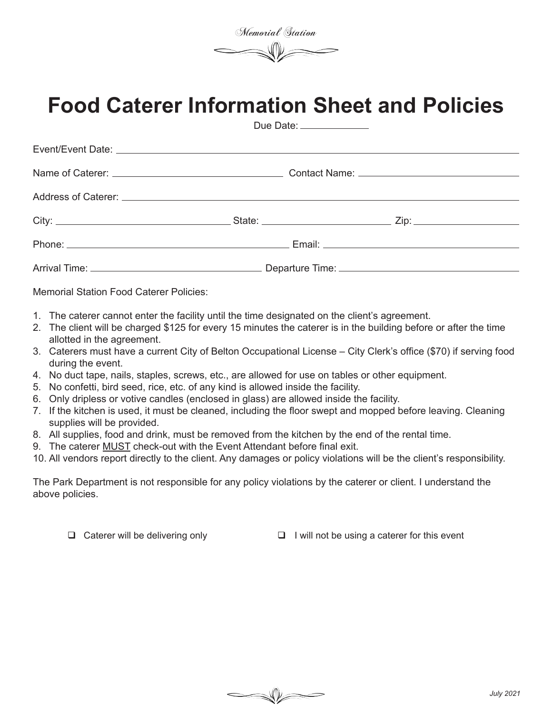Memorial Station

# **Food Caterer Information Sheet and Policies**

Due Date:

| Momerial Ctation Food Cataron Deligion |  |  |
|----------------------------------------|--|--|

Memorial Station Food Caterer Policies:

- 1. The caterer cannot enter the facility until the time designated on the client's agreement.
- 2. The client will be charged \$125 for every 15 minutes the caterer is in the building before or after the time allotted in the agreement.
- 3. Caterers must have a current City of Belton Occupational License City Clerk's office (\$70) if serving food during the event.
- 4. No duct tape, nails, staples, screws, etc., are allowed for use on tables or other equipment.
- 5. No confetti, bird seed, rice, etc. of any kind is allowed inside the facility.
- 6. Only dripless or votive candles (enclosed in glass) are allowed inside the facility.
- 7. If the kitchen is used, it must be cleaned, including the floor swept and mopped before leaving. Cleaning supplies will be provided.
- 8. All supplies, food and drink, must be removed from the kitchen by the end of the rental time.
- 9. The caterer MUST check-out with the Event Attendant before final exit.
- 10. All vendors report directly to the client. Any damages or policy violations will be the client's responsibility.

The Park Department is not responsible for any policy violations by the caterer or client. I understand the above policies.

 $\Box$  Caterer will be delivering only  $\Box$  I will not be using a caterer for this event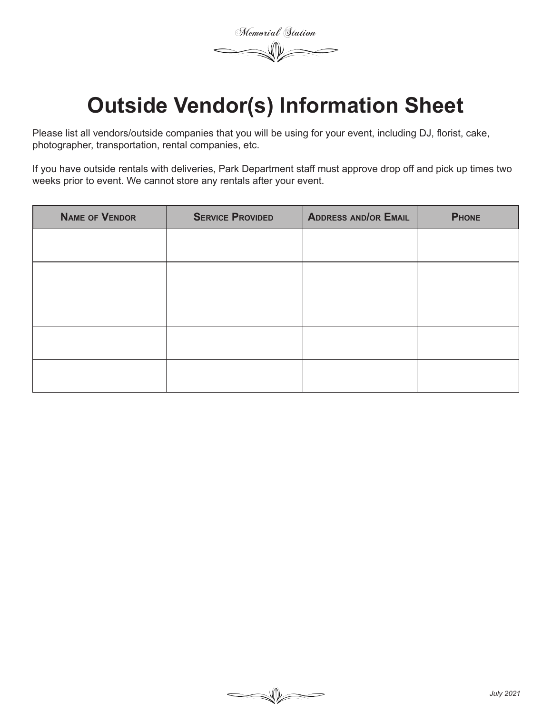Memorial Station

# **Outside Vendor(s) Information Sheet**

Please list all vendors/outside companies that you will be using for your event, including DJ, florist, cake, photographer, transportation, rental companies, etc.

If you have outside rentals with deliveries, Park Department staff must approve drop off and pick up times two weeks prior to event. We cannot store any rentals after your event.

| <b>NAME OF VENDOR</b> | <b>SERVICE PROVIDED</b> | <b>ADDRESS AND/OR EMAIL</b> | <b>PHONE</b> |
|-----------------------|-------------------------|-----------------------------|--------------|
|                       |                         |                             |              |
|                       |                         |                             |              |
|                       |                         |                             |              |
|                       |                         |                             |              |
|                       |                         |                             |              |
|                       |                         |                             |              |
|                       |                         |                             |              |
|                       |                         |                             |              |